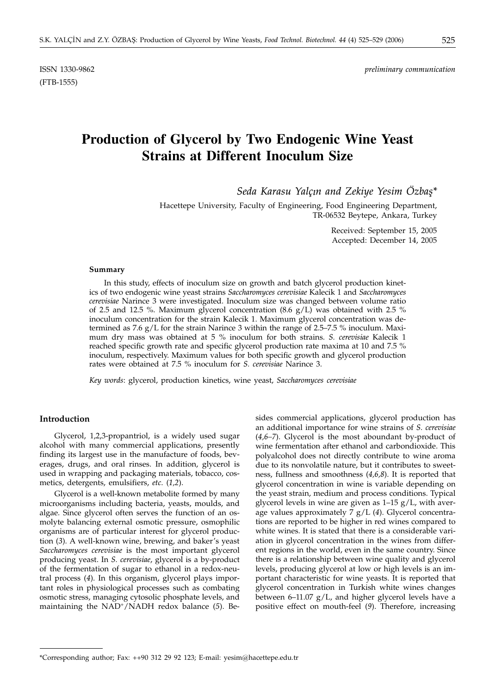ISSN 1330-9862 *preliminary communication*

# **Production of Glycerol by Two Endogenic Wine Yeast Strains at Different Inoculum Size**

*Seda Karasu Yalçi* • *n and Zekiye Yesim Özbas¸\**

Hacettepe University, Faculty of Engineering, Food Engineering Department, TR-06532 Beytepe, Ankara, Turkey

> Received: September 15, 2005 Accepted: December 14, 2005

## **Summary**

In this study, effects of inoculum size on growth and batch glycerol production kinetics of two endogenic wine yeast strains *Saccharomyces cerevisiae* Kalecik 1 and *Saccharomyces cerevisiae* Narince 3 were investigated. Inoculum size was changed between volume ratio of 2.5 and 12.5 %. Maximum glycerol concentration  $(8.6 \text{ g/L})$  was obtained with 2.5 % inoculum concentration for the strain Kalecik 1. Maximum glycerol concentration was determined as 7.6  $g/L$  for the strain Narince 3 within the range of 2.5–7.5 % inoculum. Maximum dry mass was obtained at 5 % inoculum for both strains. *S. cerevisiae* Kalecik 1 reached specific growth rate and specific glycerol production rate maxima at 10 and 7.5 % inoculum, respectively. Maximum values for both specific growth and glycerol production rates were obtained at 7.5 % inoculum for *S. cerevisiae* Narince 3.

*Key words*: glycerol, production kinetics, wine yeast, *Saccharomyces cerevisiae*

# **Introduction**

Glycerol, 1,2,3-propantriol, is a widely used sugar alcohol with many commercial applications, presently finding its largest use in the manufacture of foods, beverages, drugs, and oral rinses. In addition, glycerol is used in wrapping and packaging materials, tobacco, cosmetics, detergents, emulsifiers, *etc*. (*1,2*).

Glycerol is a well-known metabolite formed by many microorganisms including bacteria, yeasts, moulds, and algae. Since glycerol often serves the function of an osmolyte balancing external osmotic pressure, osmophilic organisms are of particular interest for glycerol production (*3*). A well-known wine, brewing, and baker's yeast *Saccharomyces cerevisiae* is the most important glycerol producing yeast. In *S. cerevisiae*, glycerol is a by-product of the fermentation of sugar to ethanol in a redox-neutral process (*4*). In this organism, glycerol plays important roles in physiological processes such as combating osmotic stress, managing cytosolic phosphate levels, and maintaining the NAD+/NADH redox balance (*5*). Besides commercial applications, glycerol production has an additional importance for wine strains of *S. cerevisiae* (*4,6–7*). Glycerol is the most aboundant by-product of wine fermentation after ethanol and carbondioxide. This polyalcohol does not directly contribute to wine aroma due to its nonvolatile nature, but it contributes to sweetness, fullness and smoothness (*4,6,8*). It is reported that glycerol concentration in wine is variable depending on the yeast strain, medium and process conditions. Typical glycerol levels in wine are given as  $1-15$  g/L, with average values approximately 7 g/L (*4*). Glycerol concentrations are reported to be higher in red wines compared to white wines. It is stated that there is a considerable variation in glycerol concentration in the wines from different regions in the world, even in the same country. Since there is a relationship between wine quality and glycerol levels, producing glycerol at low or high levels is an important characteristic for wine yeasts. It is reported that glycerol concentration in Turkish white wines changes between 6–11.07 g/L, and higher glycerol levels have a positive effect on mouth-feel (*9*). Therefore, increasing

<sup>\*</sup>Corresponding author; Fax: ++90 312 29 92 123; E-mail: yesim@hacettepe.edu.tr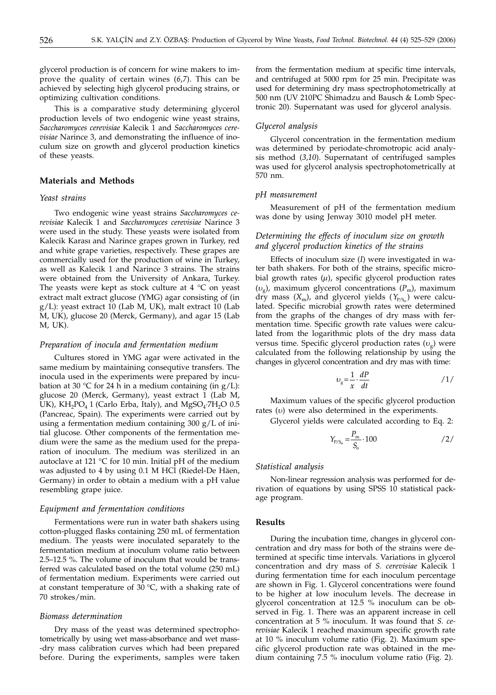glycerol production is of concern for wine makers to improve the quality of certain wines (*6*,*7*). This can be achieved by selecting high glycerol producing strains, or optimizing cultivation conditions.

This is a comparative study determining glycerol production levels of two endogenic wine yeast strains, *Saccharomyces cerevisiae* Kalecik 1 and *Saccharomyces cerevisiae* Narince 3, and demonstrating the influence of inoculum size on growth and glycerol production kinetics of these yeasts.

# **Materials and Methods**

## *Yeast strains*

Two endogenic wine yeast strains *Saccharomyces cerevisiae* Kalecik 1 and *Saccharomyces cerevisiae* Narince 3 were used in the study. These yeasts were isolated from Kalecik Karası and Narince grapes grown in Turkey, red and white grape varieties, respectively. These grapes are commercially used for the production of wine in Turkey, as well as Kalecik 1 and Narince 3 strains. The strains were obtained from the University of Ankara, Turkey. The yeasts were kept as stock culture at  $4 \degree C$  on yeast extract malt extract glucose (YMG) agar consisting of (in g/L): yeast extract 10 (Lab M, UK), malt extract 10 (Lab M, UK), glucose 20 (Merck, Germany), and agar 15 (Lab M, UK).

# *Preparation of inocula and fermentation medium*

Cultures stored in YMG agar were activated in the same medium by maintaining consequtive transfers. The inocula used in the experiments were prepared by incubation at 30 °C for 24 h in a medium containing (in  $g/L$ ): glucose 20 (Merck, Germany), yeast extract 1 (Lab M, UK),  $KH_2PO_4$  1 (Carlo Erba, Italy), and  $MgSO_4$ :7H<sub>2</sub>O 0.5 (Pancreac, Spain). The experiments were carried out by using a fermentation medium containing 300 g/L of initial glucose. Other components of the fermentation medium were the same as the medium used for the preparation of inoculum. The medium was sterilized in an autoclave at 121 °C for 10 min. Initial pH of the medium was adjusted to 4 by using 0.1 M HCl (Riedel-De Häen, Germany) in order to obtain a medium with a pH value resembling grape juice.

#### *Equipment and fermentation conditions*

Fermentations were run in water bath shakers using cotton-plugged flasks containing 250 mL of fermentation medium. The yeasts were inoculated separately to the fermentation medium at inoculum volume ratio between 2.5–12.5 %. The volume of inoculum that would be transferred was calculated based on the total volume (250 mL) of fermentation medium. Experiments were carried out at constant temperature of 30 °C, with a shaking rate of 70 strokes/min.

## *Biomass determination*

Dry mass of the yeast was determined spectrophotometrically by using wet mass-absorbance and wet mass- -dry mass calibration curves which had been prepared before. During the experiments, samples were taken

from the fermentation medium at specific time intervals, and centrifuged at 5000 rpm for 25 min. Precipitate was used for determining dry mass spectrophotometrically at 500 nm (UV 210PC Shimadzu and Bausch & Lomb Spectronic 20). Supernatant was used for glycerol analysis.

#### *Glycerol analysis*

Glycerol concentration in the fermentation medium was determined by periodate-chromotropic acid analysis method (*3*,*10*). Supernatant of centrifuged samples was used for glycerol analysis spectrophotometrically at 570 nm.

#### *pH measurement*

Measurement of pH of the fermentation medium was done by using Jenway 3010 model pH meter.

# *Determining the effects of inoculum size on growth and glycerol production kinetics of the strains*

Effects of inoculum size (*I*) were investigated in water bath shakers. For both of the strains, specific microbial growth rates (*m*), specific glycerol production rates  $(v_{\varphi})$ , maximum glycerol concentrations  $(P_{\rm m})$ , maximum dry mass  $(X_m)$ , and glycerol yields  $(Y_{P/S_n})$  were calculated. Specific microbial growth rates were determined from the graphs of the changes of dry mass with fermentation time. Specific growth rate values were calculated from the logarithmic plots of the dry mass data versus time. Specific glycerol production rates  $(v_g)$  were calculated from the following relationship by using the changes in glycerol concentration and dry mas with time:

$$
v_{\rm g} = \frac{1}{x} \cdot \frac{dP}{dt} \tag{1/}
$$

Maximum values of the specific glycerol production rates (*u*) were also determined in the experiments.

Glycerol yields were calculated according to Eq. 2:

$$
Y_{P/S_0} = \frac{P_m}{S_o} \cdot 100 \qquad \qquad /2/
$$

#### *Statistical analysis*

Non-linear regression analysis was performed for derivation of equations by using SPSS 10 statistical package program.

## **Results**

During the incubation time, changes in glycerol concentration and dry mass for both of the strains were determined at specific time intervals. Variations in glycerol concentration and dry mass of *S. cerevisiae* Kalecik 1 during fermentation time for each inoculum percentage are shown in Fig. 1. Glycerol concentrations were found to be higher at low inoculum levels. The decrease in glycerol concentration at 12.5 % inoculum can be observed in Fig. 1. There was an apparent increase in cell concentration at 5 % inoculum. It was found that *S. cerevisiae* Kalecik 1 reached maximum specific growth rate at 10 % inoculum volume ratio (Fig. 2). Maximum specific glycerol production rate was obtained in the medium containing 7.5 % inoculum volume ratio (Fig. 2).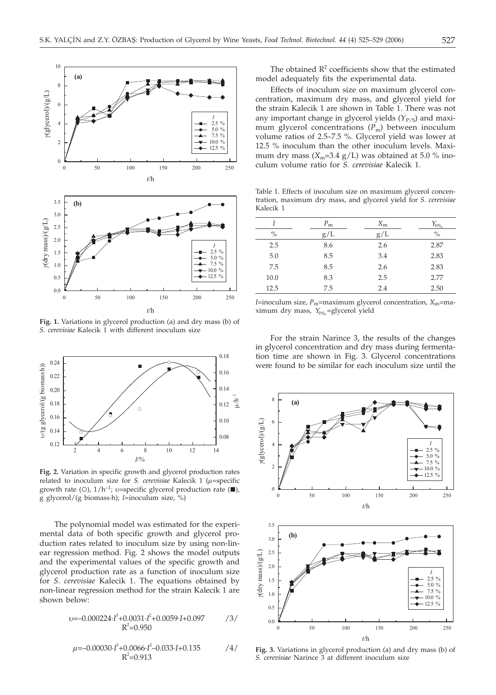

**Fig. 1.** Variations in glycerol production (a) and dry mass (b) of *S. cerevisiae* Kalecik 1 with different inoculum size



**Fig. 2.** Variation in specific growth and glycerol production rates related to inoculum size for *S. cerevisiae* Kalecik 1 (*m*=specific growth rate (O),  $1/h^{-1}$ ; *v*=specific glycerol production rate ( $\blacksquare$ ),  $\sigma$  glycerol/( $\sigma$  biomass-b); *I*=inoculum size %) g glycerol/(g biomass·h); *I*=inoculum size, %)

The polynomial model was estimated for the experimental data of both specific growth and glycerol production rates related to inoculum size by using non-linear regression method. Fig. 2 shows the model outputs and the experimental values of the specific growth and glycerol production rate as a function of inoculum size for *S. cerevisiae* Kalecik 1. The equations obtained by non-linear regression method for the strain Kalecik 1 are shown below:

$$
v = -0.000224 \cdot I^3 + 0.0031 \cdot I^2 + 0.0059 \cdot I + 0.097
$$
 /3/  
\n
$$
R^2 = 0.950
$$

$$
\mu = -0.00030 \cdot I^3 + 0.0066 \cdot I^2 - 0.033 \cdot I + 0.135 \tag{4/}
$$
  

$$
R^2 = 0.913
$$

The obtained  $R<sup>2</sup>$  coefficients show that the estimated model adequately fits the experimental data.

Effects of inoculum size on maximum glycerol concentration, maximum dry mass, and glycerol yield for the strain Kalecik 1 are shown in Table 1. There was not any important change in glycerol yields (Y<sub>P/S</sub>) and maximum glycerol concentrations (P<sub>m</sub>) between inoculum volume ratios of 2.5–7.5 %. Glycerol yield was lower at 12.5 % inoculum than the other inoculum levels. Maximum dry mass  $(X_m=3.4 \text{ g/L})$  was obtained at 5.0 % inoculum volume ratio for *S. cerevisiae* Kalecik 1.

Table 1. Effects of inoculum size on maximum glycerol concentration, maximum dry mass, and glycerol yield for *S. cerevisiae* Kalecik 1

|      | $P_{\rm m}$ | $X_{\rm m}$ | $Y_{P/S_o}$ |
|------|-------------|-------------|-------------|
| $\%$ | g/L         | g/L         | $\%$        |
| 2.5  | 8.6         | 2.6         | 2.87        |
| 5.0  | 8.5         | 3.4         | 2.83        |
| 7.5  | 8.5         | 2.6         | 2.83        |
| 10.0 | 8.3         | 2.5         | 2.77        |
| 12.5 | 7.5         | 2.4         | 2.50        |

*I*=inoculum size, *P*m=maximum glycerol concentration, *X*m=maximum dry mass, *Y*<sub>P/So</sub>=glycerol yield

For the strain Narince 3, the results of the changes in glycerol concentration and dry mass during fermentation time are shown in Fig. 3. Glycerol concentrations were found to be similar for each inoculum size until the



**Fig. 3.** Variations in glycerol production (a) and dry mass (b) of *S. cerevisiae* Narince 3 at different inoculum size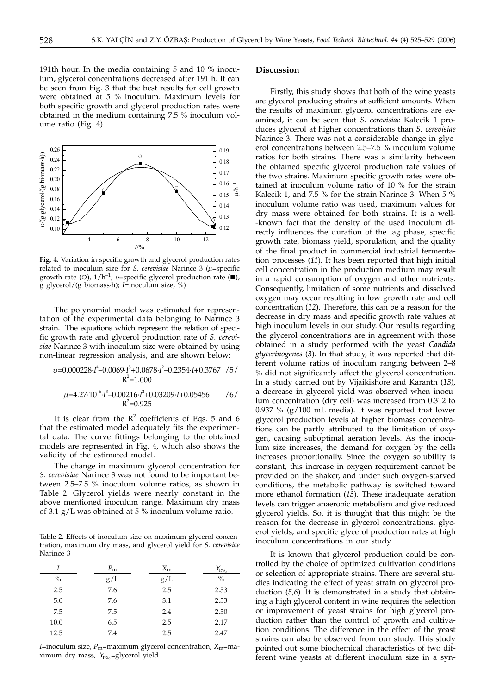191th hour. In the media containing 5 and 10 % inoculum, glycerol concentrations decreased after 191 h. It can be seen from Fig. 3 that the best results for cell growth were obtained at 5 % inoculum. Maximum levels for both specific growth and glycerol production rates were obtained in the medium containing 7.5 % inoculum volume ratio (Fig. 4).



**Fig. 4.** Variation in specific growth and glycerol production rates related to inoculum size for *S. cerevisiae* Narince 3 (*m*=specific growth rate (O),  $1/h^{-1}$ ; *v*=specific glycerol production rate ( $\blacksquare$ ),  $\alpha$  glycerol  $\ell(\alpha)$  biomass b): *I*-inoculum size %) g glycerol/(g biomass·h); *I*=inoculum size, %)

The polynomial model was estimated for representation of the experimental data belonging to Narince 3 strain. The equations which represent the relation of specific growth rate and glycerol production rate of *S. cerevisiae* Narince 3 with inoculum size were obtained by using non-linear regression analysis, and are shown below:

$$
v=0.000228 \cdot I^4 - 0.0069 \cdot I^3 + 0.0678 \cdot I^2 - 0.2354 \cdot I + 0.3767 \quad /5 / R^2 = 1.000
$$
\n
$$
\mu = 4.27 \cdot 10^{-6} \cdot I^3 - 0.00216 \cdot I^2 + 0.03209 \cdot I + 0.05456 \quad /6 / R^2 = 0.925
$$

It is clear from the  $R^2$  coefficients of Eqs. 5 and 6 that the estimated model adequately fits the experimental data. The curve fittings belonging to the obtained models are represented in Fig. 4, which also shows the validity of the estimated model.

The change in maximum glycerol concentration for *S. cerevisiae* Narince 3 was not found to be important between 2.5–7.5 % inoculum volume ratios, as shown in Table 2. Glycerol yields were nearly constant in the above mentioned inoculum range. Maximum dry mass of 3.1 g/L was obtained at 5 % inoculum volume ratio.

Table 2. Effects of inoculum size on maximum glycerol concentration, maximum dry mass, and glycerol yield for *S. cerevisiae* Narince 3

|               | $P_{\rm m}$ | $X_{\rm m}$ | $Y_{P/S_{\alpha}}$ |
|---------------|-------------|-------------|--------------------|
| $\frac{0}{0}$ | g/L         | g/L         | $\frac{0}{0}$      |
| 2.5           | 7.6         | 2.5         | 2.53               |
| 5.0           | 7.6         | 3.1         | 2.53               |
| 7.5           | 7.5         | 2.4         | 2.50               |
| 10.0          | 6.5         | 2.5         | 2.17               |
| 12.5          | 7.4         | 2.5         | 2.47               |

*I*=inoculum size, *P*<sub>m</sub>=maximum glycerol concentration, *X*<sub>m</sub>=maximum dry mass, *Y*<sub>P/S</sub><sub>o</sub>=glycerol yield

# **Discussion**

Firstly, this study shows that both of the wine yeasts are glycerol producing strains at sufficient amounts. When the results of maximum glycerol concentrations are examined, it can be seen that *S. cerevisiae* Kalecik 1 produces glycerol at higher concentrations than *S. cerevisiae* Narince 3. There was not a considerable change in glycerol concentrations between 2.5–7.5 % inoculum volume ratios for both strains. There was a similarity between the obtained specific glycerol production rate values of the two strains. Maximum specific growth rates were obtained at inoculum volume ratio of 10 % for the strain Kalecik 1, and 7.5 % for the strain Narince 3. When 5 % inoculum volume ratio was used, maximum values for dry mass were obtained for both strains. It is a well- -known fact that the density of the used inoculum directly influences the duration of the lag phase, specific growth rate, biomass yield, sporulation, and the quality of the final product in commercial industrial fermentation processes (*11*). It has been reported that high initial cell concentration in the production medium may result in a rapid consumption of oxygen and other nutrients. Consequently, limitation of some nutrients and dissolved oxygen may occur resulting in low growth rate and cell concentration (*12*). Therefore, this can be a reason for the decrease in dry mass and specific growth rate values at high inoculum levels in our study. Our results regarding the glycerol concentrations are in agreement with those obtained in a study performed with the yeast *Candida glycerinogenes* (*3*). In that study, it was reported that different volume ratios of inoculum ranging between 2–8 % did not significantly affect the glycerol concentration. In a study carried out by Vijaikishore and Karanth (*13*), a decrease in glycerol yield was observed when inoculum concentration (dry cell) was increased from 0.312 to 0.937 %  $(g/100 \text{ mL media})$ . It was reported that lower glycerol production levels at higher biomass concentrations can be partly attributed to the limitation of oxygen, causing suboptimal aeration levels. As the inoculum size increases, the demand for oxygen by the cells increases proportionally. Since the oxygen solubility is constant, this increase in oxygen requirement cannot be provided on the shaker, and under such oxygen-starved conditions, the metabolic pathway is switched toward more ethanol formation (*13*). These inadequate aeration levels can trigger anaerobic metabolism and give reduced glycerol yields. So, it is thought that this might be the reason for the decrease in glycerol concentrations, glycerol yields, and specific glycerol production rates at high inoculum concentrations in our study.

It is known that glycerol production could be controlled by the choice of optimized cultivation conditions or selection of appropriate strains. There are several studies indicating the effect of yeast strain on glycerol production (*5*,*6*). It is demonstrated in a study that obtaining a high glycerol content in wine requires the selection or improvement of yeast strains for high glycerol production rather than the control of growth and cultivation conditions. The difference in the effect of the yeast strains can also be observed from our study. This study pointed out some biochemical characteristics of two different wine yeasts at different inoculum size in a syn